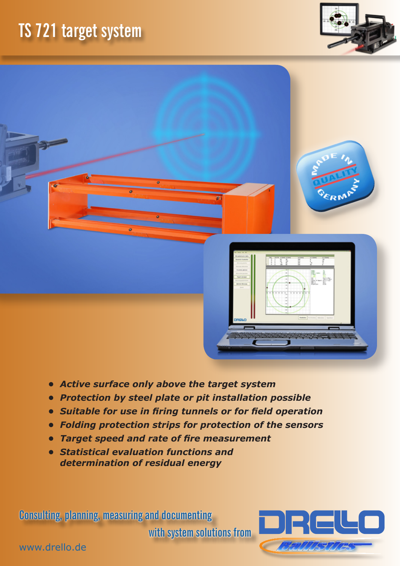## **TS 721 target system**





- *• Active surface only above the target system*
- *• Protection by steel plate or pit installation possible*
- *• Suitable for use in firing tunnels or for field operation*
- *• Folding protection strips for protection of the sensors*
- *• Target speed and rate of fire measurement*
- *• Statistical evaluation functions and determination of residual energy*

**Consulting, planning, measuring and documenting** 

**with system solutions from**